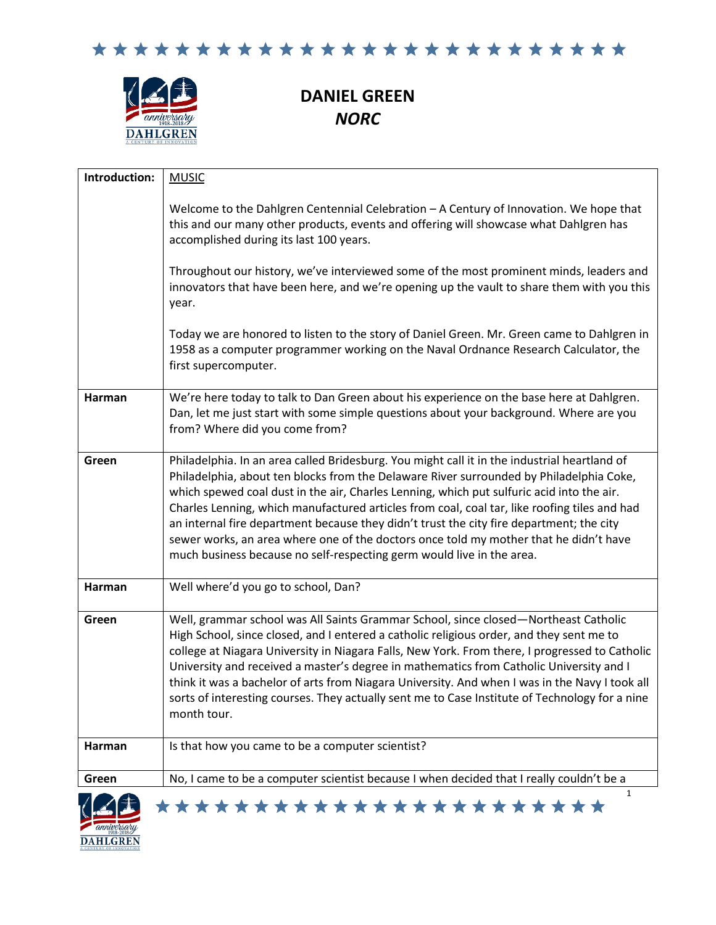

# **DANIEL GREEN** *NORC*

| Introduction:   | <b>MUSIC</b>                                                                                                                                                                                                                                                                                                                                                                                                                                                                                                                                                                                                                                       |
|-----------------|----------------------------------------------------------------------------------------------------------------------------------------------------------------------------------------------------------------------------------------------------------------------------------------------------------------------------------------------------------------------------------------------------------------------------------------------------------------------------------------------------------------------------------------------------------------------------------------------------------------------------------------------------|
|                 | Welcome to the Dahlgren Centennial Celebration - A Century of Innovation. We hope that<br>this and our many other products, events and offering will showcase what Dahlgren has<br>accomplished during its last 100 years.                                                                                                                                                                                                                                                                                                                                                                                                                         |
|                 | Throughout our history, we've interviewed some of the most prominent minds, leaders and<br>innovators that have been here, and we're opening up the vault to share them with you this<br>year.                                                                                                                                                                                                                                                                                                                                                                                                                                                     |
|                 | Today we are honored to listen to the story of Daniel Green. Mr. Green came to Dahlgren in<br>1958 as a computer programmer working on the Naval Ordnance Research Calculator, the<br>first supercomputer.                                                                                                                                                                                                                                                                                                                                                                                                                                         |
| Harman          | We're here today to talk to Dan Green about his experience on the base here at Dahlgren.<br>Dan, let me just start with some simple questions about your background. Where are you<br>from? Where did you come from?                                                                                                                                                                                                                                                                                                                                                                                                                               |
| Green           | Philadelphia. In an area called Bridesburg. You might call it in the industrial heartland of<br>Philadelphia, about ten blocks from the Delaware River surrounded by Philadelphia Coke,<br>which spewed coal dust in the air, Charles Lenning, which put sulfuric acid into the air.<br>Charles Lenning, which manufactured articles from coal, coal tar, like roofing tiles and had<br>an internal fire department because they didn't trust the city fire department; the city<br>sewer works, an area where one of the doctors once told my mother that he didn't have<br>much business because no self-respecting germ would live in the area. |
| Harman          | Well where'd you go to school, Dan?                                                                                                                                                                                                                                                                                                                                                                                                                                                                                                                                                                                                                |
| Green           | Well, grammar school was All Saints Grammar School, since closed-Northeast Catholic<br>High School, since closed, and I entered a catholic religious order, and they sent me to<br>college at Niagara University in Niagara Falls, New York. From there, I progressed to Catholic<br>University and received a master's degree in mathematics from Catholic University and I<br>think it was a bachelor of arts from Niagara University. And when I was in the Navy I took all<br>sorts of interesting courses. They actually sent me to Case Institute of Technology for a nine<br>month tour.                                                    |
| Harman          | Is that how you came to be a computer scientist?                                                                                                                                                                                                                                                                                                                                                                                                                                                                                                                                                                                                   |
| Green           | No, I came to be a computer scientist because I when decided that I really couldn't be a                                                                                                                                                                                                                                                                                                                                                                                                                                                                                                                                                           |
| <b>DAHLGREN</b> | $\mathbf{1}$<br>***********************                                                                                                                                                                                                                                                                                                                                                                                                                                                                                                                                                                                                            |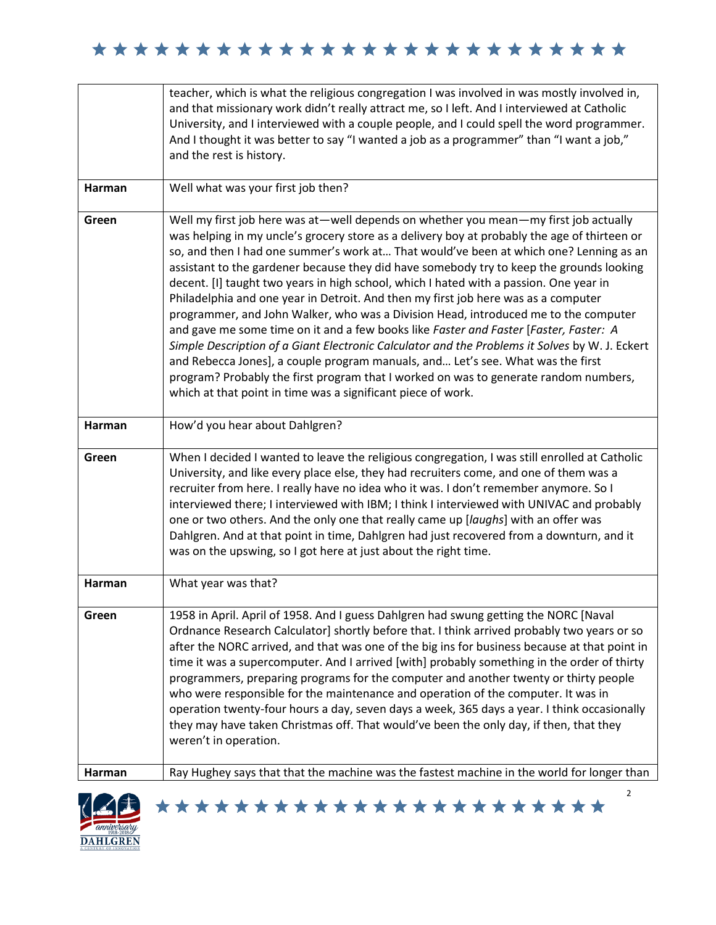|        | teacher, which is what the religious congregation I was involved in was mostly involved in,<br>and that missionary work didn't really attract me, so I left. And I interviewed at Catholic<br>University, and I interviewed with a couple people, and I could spell the word programmer.<br>And I thought it was better to say "I wanted a job as a programmer" than "I want a job,"<br>and the rest is history.                                                                                                                                                                                                                                                                                                                                                                                                                                                                                                                                                                                                                                                                        |
|--------|-----------------------------------------------------------------------------------------------------------------------------------------------------------------------------------------------------------------------------------------------------------------------------------------------------------------------------------------------------------------------------------------------------------------------------------------------------------------------------------------------------------------------------------------------------------------------------------------------------------------------------------------------------------------------------------------------------------------------------------------------------------------------------------------------------------------------------------------------------------------------------------------------------------------------------------------------------------------------------------------------------------------------------------------------------------------------------------------|
| Harman | Well what was your first job then?                                                                                                                                                                                                                                                                                                                                                                                                                                                                                                                                                                                                                                                                                                                                                                                                                                                                                                                                                                                                                                                      |
| Green  | Well my first job here was at—well depends on whether you mean—my first job actually<br>was helping in my uncle's grocery store as a delivery boy at probably the age of thirteen or<br>so, and then I had one summer's work at That would've been at which one? Lenning as an<br>assistant to the gardener because they did have somebody try to keep the grounds looking<br>decent. [I] taught two years in high school, which I hated with a passion. One year in<br>Philadelphia and one year in Detroit. And then my first job here was as a computer<br>programmer, and John Walker, who was a Division Head, introduced me to the computer<br>and gave me some time on it and a few books like Faster and Faster [Faster, Faster: A<br>Simple Description of a Giant Electronic Calculator and the Problems it Solves by W. J. Eckert<br>and Rebecca Jones], a couple program manuals, and Let's see. What was the first<br>program? Probably the first program that I worked on was to generate random numbers,<br>which at that point in time was a significant piece of work. |
| Harman | How'd you hear about Dahlgren?                                                                                                                                                                                                                                                                                                                                                                                                                                                                                                                                                                                                                                                                                                                                                                                                                                                                                                                                                                                                                                                          |
| Green  | When I decided I wanted to leave the religious congregation, I was still enrolled at Catholic<br>University, and like every place else, they had recruiters come, and one of them was a<br>recruiter from here. I really have no idea who it was. I don't remember anymore. So I<br>interviewed there; I interviewed with IBM; I think I interviewed with UNIVAC and probably<br>one or two others. And the only one that really came up [laughs] with an offer was<br>Dahlgren. And at that point in time, Dahlgren had just recovered from a downturn, and it<br>was on the upswing, so I got here at just about the right time.                                                                                                                                                                                                                                                                                                                                                                                                                                                      |
| Harman | What year was that?                                                                                                                                                                                                                                                                                                                                                                                                                                                                                                                                                                                                                                                                                                                                                                                                                                                                                                                                                                                                                                                                     |
| Green  | 1958 in April. April of 1958. And I guess Dahlgren had swung getting the NORC [Naval<br>Ordnance Research Calculator] shortly before that. I think arrived probably two years or so<br>after the NORC arrived, and that was one of the big ins for business because at that point in<br>time it was a supercomputer. And I arrived [with] probably something in the order of thirty<br>programmers, preparing programs for the computer and another twenty or thirty people<br>who were responsible for the maintenance and operation of the computer. It was in<br>operation twenty-four hours a day, seven days a week, 365 days a year. I think occasionally<br>they may have taken Christmas off. That would've been the only day, if then, that they<br>weren't in operation.                                                                                                                                                                                                                                                                                                      |
| Harman | Ray Hughey says that that the machine was the fastest machine in the world for longer than                                                                                                                                                                                                                                                                                                                                                                                                                                                                                                                                                                                                                                                                                                                                                                                                                                                                                                                                                                                              |
|        | $\overline{2}$<br>▓▓ <b>▓▋▕</b> ★★★★★★★★★★★★★★★★★★★★★★★                                                                                                                                                                                                                                                                                                                                                                                                                                                                                                                                                                                                                                                                                                                                                                                                                                                                                                                                                                                                                                 |

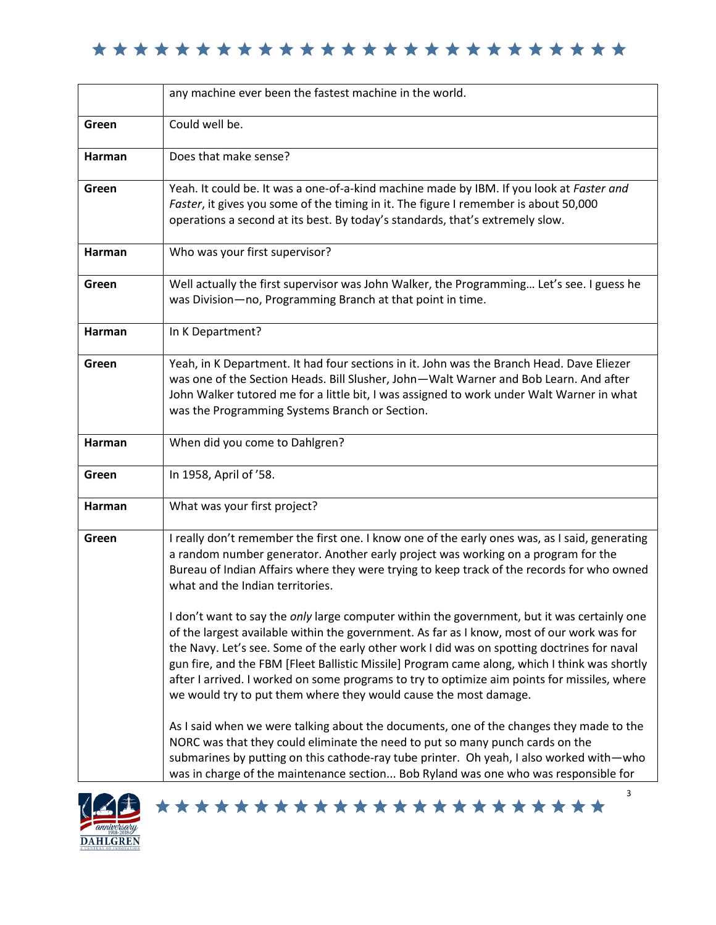|               | any machine ever been the fastest machine in the world.                                                                                                                                                                                                                                                                                                                                                                                                                                                                                                                                                                                                                                                                                                                                                                                                                                       |
|---------------|-----------------------------------------------------------------------------------------------------------------------------------------------------------------------------------------------------------------------------------------------------------------------------------------------------------------------------------------------------------------------------------------------------------------------------------------------------------------------------------------------------------------------------------------------------------------------------------------------------------------------------------------------------------------------------------------------------------------------------------------------------------------------------------------------------------------------------------------------------------------------------------------------|
| Green         | Could well be.                                                                                                                                                                                                                                                                                                                                                                                                                                                                                                                                                                                                                                                                                                                                                                                                                                                                                |
| <b>Harman</b> | Does that make sense?                                                                                                                                                                                                                                                                                                                                                                                                                                                                                                                                                                                                                                                                                                                                                                                                                                                                         |
| Green         | Yeah. It could be. It was a one-of-a-kind machine made by IBM. If you look at Faster and<br>Faster, it gives you some of the timing in it. The figure I remember is about 50,000<br>operations a second at its best. By today's standards, that's extremely slow.                                                                                                                                                                                                                                                                                                                                                                                                                                                                                                                                                                                                                             |
| <b>Harman</b> | Who was your first supervisor?                                                                                                                                                                                                                                                                                                                                                                                                                                                                                                                                                                                                                                                                                                                                                                                                                                                                |
| Green         | Well actually the first supervisor was John Walker, the Programming Let's see. I guess he<br>was Division-no, Programming Branch at that point in time.                                                                                                                                                                                                                                                                                                                                                                                                                                                                                                                                                                                                                                                                                                                                       |
| Harman        | In K Department?                                                                                                                                                                                                                                                                                                                                                                                                                                                                                                                                                                                                                                                                                                                                                                                                                                                                              |
| Green         | Yeah, in K Department. It had four sections in it. John was the Branch Head. Dave Eliezer<br>was one of the Section Heads. Bill Slusher, John-Walt Warner and Bob Learn. And after<br>John Walker tutored me for a little bit, I was assigned to work under Walt Warner in what<br>was the Programming Systems Branch or Section.                                                                                                                                                                                                                                                                                                                                                                                                                                                                                                                                                             |
| Harman        | When did you come to Dahlgren?                                                                                                                                                                                                                                                                                                                                                                                                                                                                                                                                                                                                                                                                                                                                                                                                                                                                |
| Green         | In 1958, April of '58.                                                                                                                                                                                                                                                                                                                                                                                                                                                                                                                                                                                                                                                                                                                                                                                                                                                                        |
| <b>Harman</b> | What was your first project?                                                                                                                                                                                                                                                                                                                                                                                                                                                                                                                                                                                                                                                                                                                                                                                                                                                                  |
| Green         | I really don't remember the first one. I know one of the early ones was, as I said, generating<br>a random number generator. Another early project was working on a program for the<br>Bureau of Indian Affairs where they were trying to keep track of the records for who owned<br>what and the Indian territories.<br>I don't want to say the <i>only</i> large computer within the government, but it was certainly one<br>of the largest available within the government. As far as I know, most of our work was for<br>the Navy. Let's see. Some of the early other work I did was on spotting doctrines for naval<br>gun fire, and the FBM [Fleet Ballistic Missile] Program came along, which I think was shortly<br>after I arrived. I worked on some programs to try to optimize aim points for missiles, where<br>we would try to put them where they would cause the most damage. |
|               | As I said when we were talking about the documents, one of the changes they made to the<br>NORC was that they could eliminate the need to put so many punch cards on the<br>submarines by putting on this cathode-ray tube printer. Oh yeah, I also worked with—who<br>was in charge of the maintenance section Bob Ryland was one who was responsible for                                                                                                                                                                                                                                                                                                                                                                                                                                                                                                                                    |



\*\*\*\*\*\*\*\*\*\*\*\*\*\*\*\*\*\*\*\*\*\*<sup>3</sup>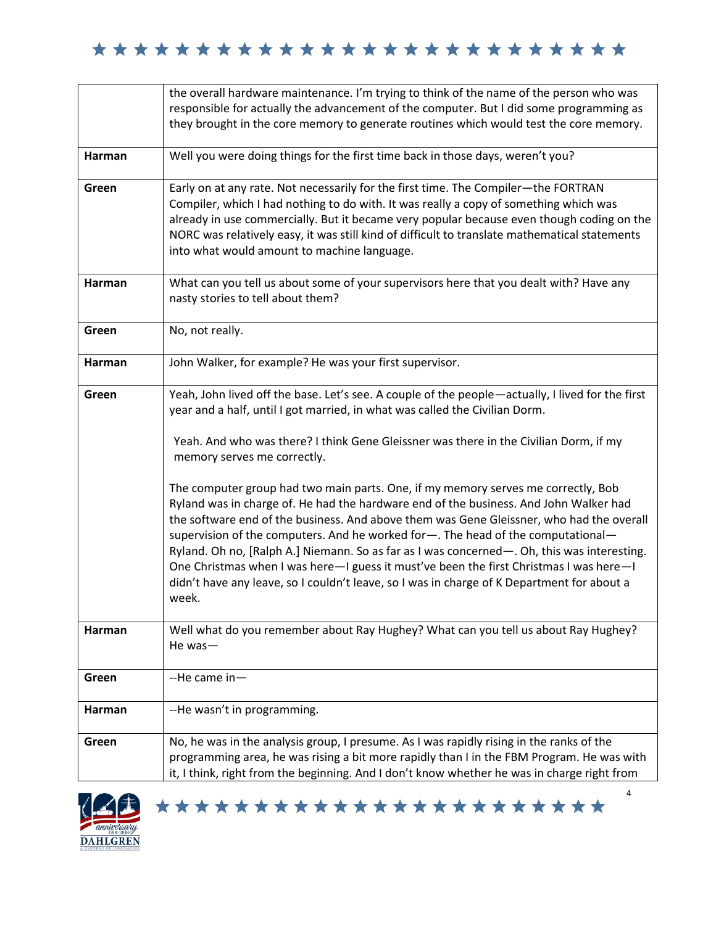|        | the overall hardware maintenance. I'm trying to think of the name of the person who was                                                                                                                                                                                                                                                                                                                                                                                                                                                                                                                                                                                                                                                                                                                                                                                                                                                                                |
|--------|------------------------------------------------------------------------------------------------------------------------------------------------------------------------------------------------------------------------------------------------------------------------------------------------------------------------------------------------------------------------------------------------------------------------------------------------------------------------------------------------------------------------------------------------------------------------------------------------------------------------------------------------------------------------------------------------------------------------------------------------------------------------------------------------------------------------------------------------------------------------------------------------------------------------------------------------------------------------|
|        | responsible for actually the advancement of the computer. But I did some programming as                                                                                                                                                                                                                                                                                                                                                                                                                                                                                                                                                                                                                                                                                                                                                                                                                                                                                |
|        | they brought in the core memory to generate routines which would test the core memory.                                                                                                                                                                                                                                                                                                                                                                                                                                                                                                                                                                                                                                                                                                                                                                                                                                                                                 |
| Harman | Well you were doing things for the first time back in those days, weren't you?                                                                                                                                                                                                                                                                                                                                                                                                                                                                                                                                                                                                                                                                                                                                                                                                                                                                                         |
| Green  | Early on at any rate. Not necessarily for the first time. The Compiler-the FORTRAN<br>Compiler, which I had nothing to do with. It was really a copy of something which was<br>already in use commercially. But it became very popular because even though coding on the<br>NORC was relatively easy, it was still kind of difficult to translate mathematical statements<br>into what would amount to machine language.                                                                                                                                                                                                                                                                                                                                                                                                                                                                                                                                               |
| Harman | What can you tell us about some of your supervisors here that you dealt with? Have any<br>nasty stories to tell about them?                                                                                                                                                                                                                                                                                                                                                                                                                                                                                                                                                                                                                                                                                                                                                                                                                                            |
| Green  | No, not really.                                                                                                                                                                                                                                                                                                                                                                                                                                                                                                                                                                                                                                                                                                                                                                                                                                                                                                                                                        |
| Harman | John Walker, for example? He was your first supervisor.                                                                                                                                                                                                                                                                                                                                                                                                                                                                                                                                                                                                                                                                                                                                                                                                                                                                                                                |
| Green  | Yeah, John lived off the base. Let's see. A couple of the people-actually, I lived for the first<br>year and a half, until I got married, in what was called the Civilian Dorm.<br>Yeah. And who was there? I think Gene Gleissner was there in the Civilian Dorm, if my<br>memory serves me correctly.<br>The computer group had two main parts. One, if my memory serves me correctly, Bob<br>Ryland was in charge of. He had the hardware end of the business. And John Walker had<br>the software end of the business. And above them was Gene Gleissner, who had the overall<br>supervision of the computers. And he worked for -. The head of the computational-<br>Ryland. Oh no, [Ralph A.] Niemann. So as far as I was concerned—. Oh, this was interesting.<br>One Christmas when I was here-I guess it must've been the first Christmas I was here-I<br>didn't have any leave, so I couldn't leave, so I was in charge of K Department for about a<br>week. |
| Harman | Well what do you remember about Ray Hughey? What can you tell us about Ray Hughey?<br>He was-                                                                                                                                                                                                                                                                                                                                                                                                                                                                                                                                                                                                                                                                                                                                                                                                                                                                          |
| Green  | --He came in-                                                                                                                                                                                                                                                                                                                                                                                                                                                                                                                                                                                                                                                                                                                                                                                                                                                                                                                                                          |
| Harman | --He wasn't in programming.                                                                                                                                                                                                                                                                                                                                                                                                                                                                                                                                                                                                                                                                                                                                                                                                                                                                                                                                            |
| Green  | No, he was in the analysis group, I presume. As I was rapidly rising in the ranks of the<br>programming area, he was rising a bit more rapidly than I in the FBM Program. He was with<br>it, I think, right from the beginning. And I don't know whether he was in charge right from                                                                                                                                                                                                                                                                                                                                                                                                                                                                                                                                                                                                                                                                                   |



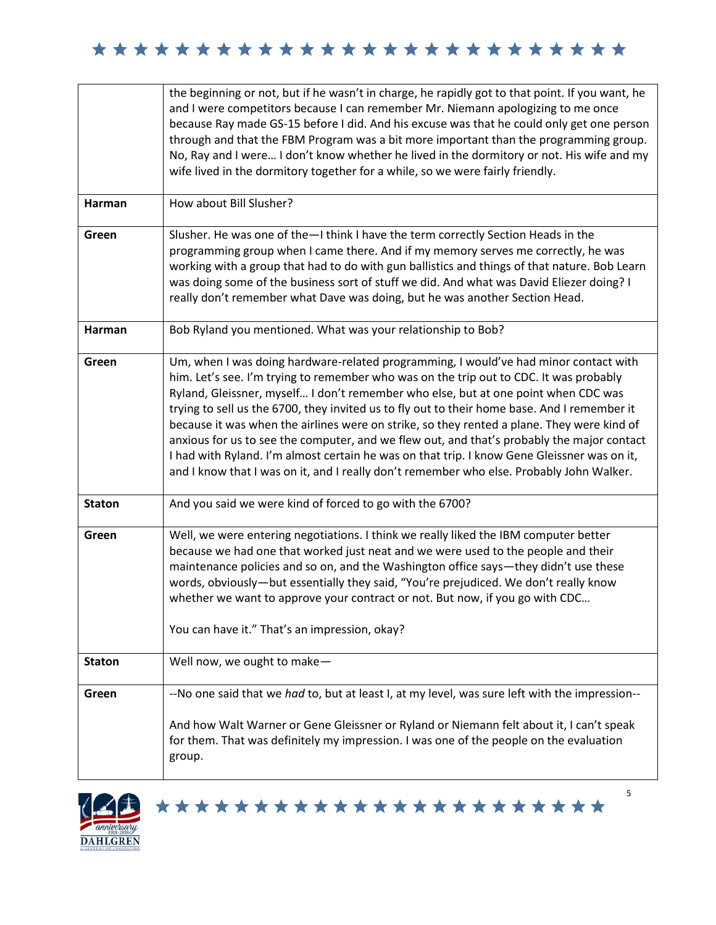|               | the beginning or not, but if he wasn't in charge, he rapidly got to that point. If you want, he<br>and I were competitors because I can remember Mr. Niemann apologizing to me once<br>because Ray made GS-15 before I did. And his excuse was that he could only get one person<br>through and that the FBM Program was a bit more important than the programming group.<br>No, Ray and I were I don't know whether he lived in the dormitory or not. His wife and my<br>wife lived in the dormitory together for a while, so we were fairly friendly.                                                                                                                                                                                                     |
|---------------|-------------------------------------------------------------------------------------------------------------------------------------------------------------------------------------------------------------------------------------------------------------------------------------------------------------------------------------------------------------------------------------------------------------------------------------------------------------------------------------------------------------------------------------------------------------------------------------------------------------------------------------------------------------------------------------------------------------------------------------------------------------|
| Harman        | How about Bill Slusher?                                                                                                                                                                                                                                                                                                                                                                                                                                                                                                                                                                                                                                                                                                                                     |
| Green         | Slusher. He was one of the-I think I have the term correctly Section Heads in the<br>programming group when I came there. And if my memory serves me correctly, he was<br>working with a group that had to do with gun ballistics and things of that nature. Bob Learn<br>was doing some of the business sort of stuff we did. And what was David Eliezer doing? I<br>really don't remember what Dave was doing, but he was another Section Head.                                                                                                                                                                                                                                                                                                           |
| Harman        | Bob Ryland you mentioned. What was your relationship to Bob?                                                                                                                                                                                                                                                                                                                                                                                                                                                                                                                                                                                                                                                                                                |
| Green         | Um, when I was doing hardware-related programming, I would've had minor contact with<br>him. Let's see. I'm trying to remember who was on the trip out to CDC. It was probably<br>Ryland, Gleissner, myself I don't remember who else, but at one point when CDC was<br>trying to sell us the 6700, they invited us to fly out to their home base. And I remember it<br>because it was when the airlines were on strike, so they rented a plane. They were kind of<br>anxious for us to see the computer, and we flew out, and that's probably the major contact<br>I had with Ryland. I'm almost certain he was on that trip. I know Gene Gleissner was on it,<br>and I know that I was on it, and I really don't remember who else. Probably John Walker. |
| <b>Staton</b> | And you said we were kind of forced to go with the 6700?                                                                                                                                                                                                                                                                                                                                                                                                                                                                                                                                                                                                                                                                                                    |
| Green         | Well, we were entering negotiations. I think we really liked the IBM computer better<br>because we had one that worked just neat and we were used to the people and their<br>maintenance policies and so on, and the Washington office says—they didn't use these<br>words, obviously—but essentially they said, "You're prejudiced. We don't really know<br>whether we want to approve your contract or not. But now, if you go with CDC<br>You can have it." That's an impression, okay?                                                                                                                                                                                                                                                                  |
| <b>Staton</b> | Well now, we ought to make-                                                                                                                                                                                                                                                                                                                                                                                                                                                                                                                                                                                                                                                                                                                                 |
| Green         | --No one said that we had to, but at least I, at my level, was sure left with the impression--                                                                                                                                                                                                                                                                                                                                                                                                                                                                                                                                                                                                                                                              |
|               | And how Walt Warner or Gene Gleissner or Ryland or Niemann felt about it, I can't speak<br>for them. That was definitely my impression. I was one of the people on the evaluation<br>group.                                                                                                                                                                                                                                                                                                                                                                                                                                                                                                                                                                 |

\*\*\*\*\*\*\*\*\*\*\*\*\*\*\*\*\*\*\*\*\*\*\*

5

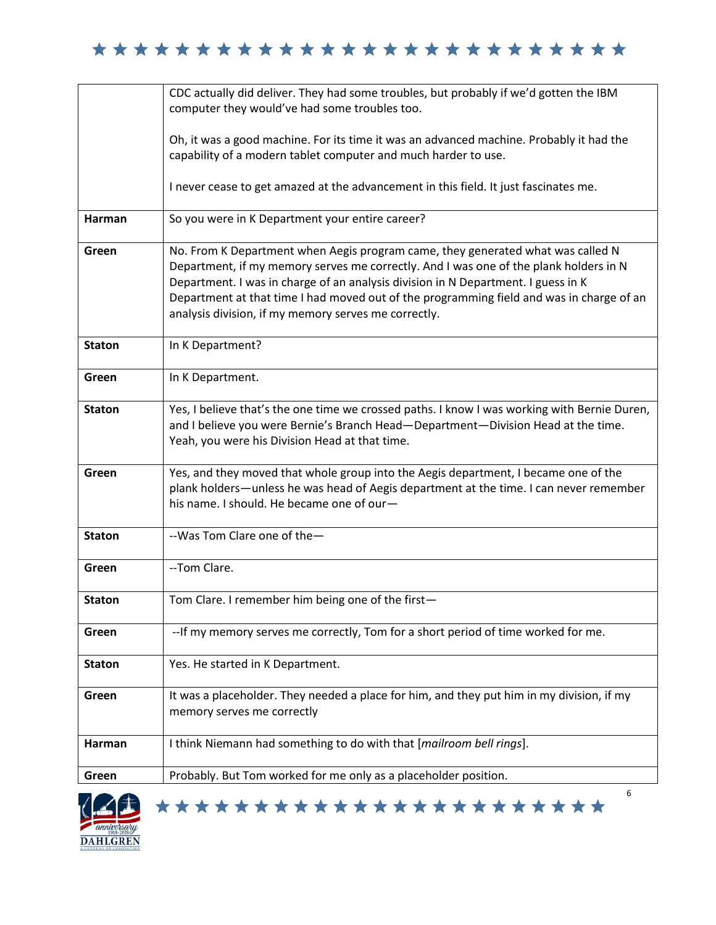|                          | CDC actually did deliver. They had some troubles, but probably if we'd gotten the IBM<br>computer they would've had some troubles too.                                                                                                                                                                                                                                                                            |
|--------------------------|-------------------------------------------------------------------------------------------------------------------------------------------------------------------------------------------------------------------------------------------------------------------------------------------------------------------------------------------------------------------------------------------------------------------|
|                          |                                                                                                                                                                                                                                                                                                                                                                                                                   |
|                          | Oh, it was a good machine. For its time it was an advanced machine. Probably it had the                                                                                                                                                                                                                                                                                                                           |
|                          | capability of a modern tablet computer and much harder to use.                                                                                                                                                                                                                                                                                                                                                    |
|                          | I never cease to get amazed at the advancement in this field. It just fascinates me.                                                                                                                                                                                                                                                                                                                              |
| Harman                   | So you were in K Department your entire career?                                                                                                                                                                                                                                                                                                                                                                   |
| Green                    | No. From K Department when Aegis program came, they generated what was called N<br>Department, if my memory serves me correctly. And I was one of the plank holders in N<br>Department. I was in charge of an analysis division in N Department. I guess in K<br>Department at that time I had moved out of the programming field and was in charge of an<br>analysis division, if my memory serves me correctly. |
| <b>Staton</b>            | In K Department?                                                                                                                                                                                                                                                                                                                                                                                                  |
| Green                    | In K Department.                                                                                                                                                                                                                                                                                                                                                                                                  |
| <b>Staton</b>            | Yes, I believe that's the one time we crossed paths. I know I was working with Bernie Duren,<br>and I believe you were Bernie's Branch Head-Department-Division Head at the time.<br>Yeah, you were his Division Head at that time.                                                                                                                                                                               |
| Green                    | Yes, and they moved that whole group into the Aegis department, I became one of the<br>plank holders—unless he was head of Aegis department at the time. I can never remember<br>his name. I should. He became one of our-                                                                                                                                                                                        |
| <b>Staton</b>            | --Was Tom Clare one of the-                                                                                                                                                                                                                                                                                                                                                                                       |
| Green                    | --Tom Clare.                                                                                                                                                                                                                                                                                                                                                                                                      |
| <b>Staton</b>            | Tom Clare. I remember him being one of the first-                                                                                                                                                                                                                                                                                                                                                                 |
| Green                    | -- If my memory serves me correctly, Tom for a short period of time worked for me.                                                                                                                                                                                                                                                                                                                                |
| <b>Staton</b>            | Yes. He started in K Department.                                                                                                                                                                                                                                                                                                                                                                                  |
| Green                    | It was a placeholder. They needed a place for him, and they put him in my division, if my<br>memory serves me correctly                                                                                                                                                                                                                                                                                           |
| Harman                   | I think Niemann had something to do with that [mailroom bell rings].                                                                                                                                                                                                                                                                                                                                              |
| Green                    | Probably. But Tom worked for me only as a placeholder position.                                                                                                                                                                                                                                                                                                                                                   |
| $\left(\sqrt{2} \right)$ | 6<br>***********************                                                                                                                                                                                                                                                                                                                                                                                      |

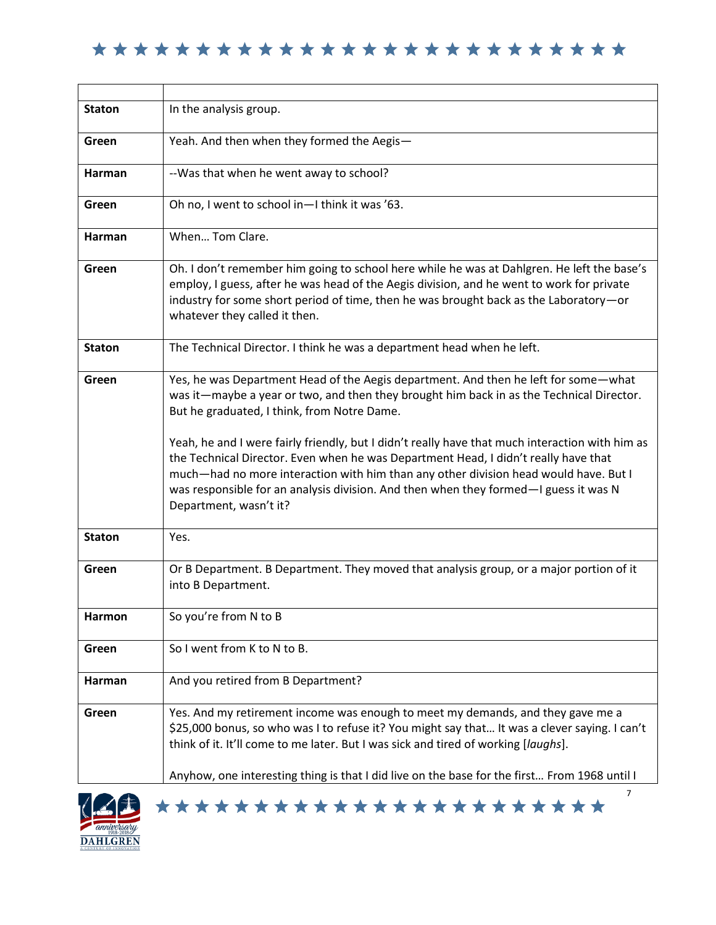| <b>Staton</b>              | In the analysis group.                                                                                                                                                                                                                                                                                                                                                                                                                                                                                                                                                                                                             |
|----------------------------|------------------------------------------------------------------------------------------------------------------------------------------------------------------------------------------------------------------------------------------------------------------------------------------------------------------------------------------------------------------------------------------------------------------------------------------------------------------------------------------------------------------------------------------------------------------------------------------------------------------------------------|
| Green                      | Yeah. And then when they formed the Aegis-                                                                                                                                                                                                                                                                                                                                                                                                                                                                                                                                                                                         |
| <b>Harman</b>              | --Was that when he went away to school?                                                                                                                                                                                                                                                                                                                                                                                                                                                                                                                                                                                            |
| Green                      | Oh no, I went to school in-I think it was '63.                                                                                                                                                                                                                                                                                                                                                                                                                                                                                                                                                                                     |
| Harman                     | When Tom Clare.                                                                                                                                                                                                                                                                                                                                                                                                                                                                                                                                                                                                                    |
| Green                      | Oh. I don't remember him going to school here while he was at Dahlgren. He left the base's<br>employ, I guess, after he was head of the Aegis division, and he went to work for private<br>industry for some short period of time, then he was brought back as the Laboratory-or<br>whatever they called it then.                                                                                                                                                                                                                                                                                                                  |
| <b>Staton</b>              | The Technical Director. I think he was a department head when he left.                                                                                                                                                                                                                                                                                                                                                                                                                                                                                                                                                             |
| Green                      | Yes, he was Department Head of the Aegis department. And then he left for some-what<br>was it—maybe a year or two, and then they brought him back in as the Technical Director.<br>But he graduated, I think, from Notre Dame.<br>Yeah, he and I were fairly friendly, but I didn't really have that much interaction with him as<br>the Technical Director. Even when he was Department Head, I didn't really have that<br>much—had no more interaction with him than any other division head would have. But I<br>was responsible for an analysis division. And then when they formed—I guess it was N<br>Department, wasn't it? |
| <b>Staton</b>              | Yes.                                                                                                                                                                                                                                                                                                                                                                                                                                                                                                                                                                                                                               |
| Green                      | Or B Department. B Department. They moved that analysis group, or a major portion of it<br>into B Department.                                                                                                                                                                                                                                                                                                                                                                                                                                                                                                                      |
| Harmon                     | So you're from N to B                                                                                                                                                                                                                                                                                                                                                                                                                                                                                                                                                                                                              |
| Green                      | So I went from K to N to B.                                                                                                                                                                                                                                                                                                                                                                                                                                                                                                                                                                                                        |
| <b>Harman</b>              | And you retired from B Department?                                                                                                                                                                                                                                                                                                                                                                                                                                                                                                                                                                                                 |
| Green                      | Yes. And my retirement income was enough to meet my demands, and they gave me a<br>\$25,000 bonus, so who was I to refuse it? You might say that It was a clever saying. I can't<br>think of it. It'll come to me later. But I was sick and tired of working [laughs].                                                                                                                                                                                                                                                                                                                                                             |
|                            | Anyhow, one interesting thing is that I did live on the base for the first From 1968 until I                                                                                                                                                                                                                                                                                                                                                                                                                                                                                                                                       |
| $\left(\angle \pm \right)$ | 7<br>***********************                                                                                                                                                                                                                                                                                                                                                                                                                                                                                                                                                                                                       |

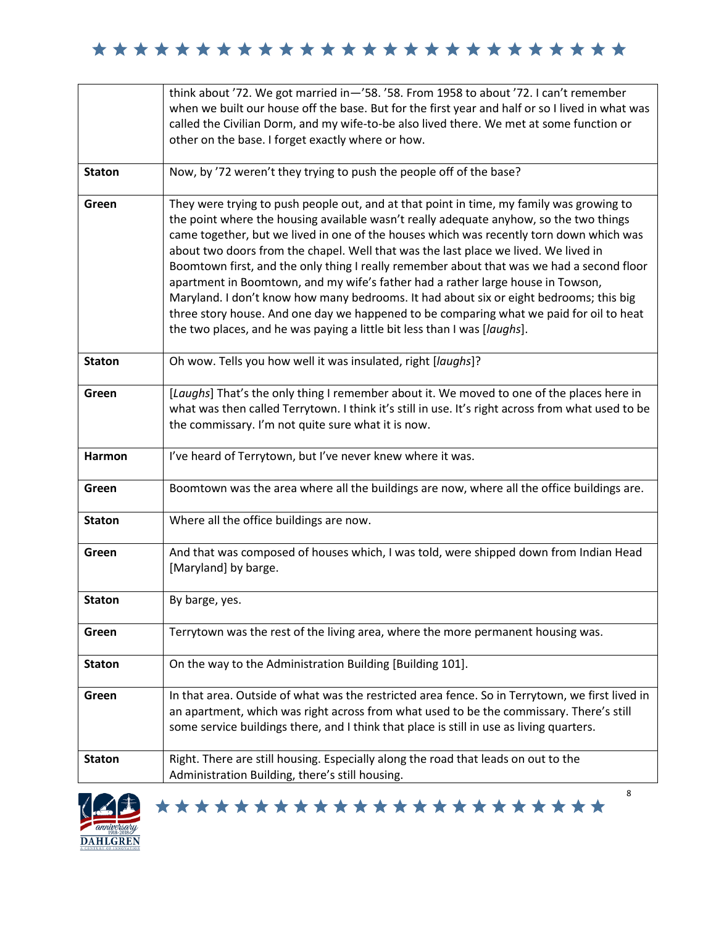|               | think about '72. We got married in-'58. '58. From 1958 to about '72. I can't remember                                                                                                                                                                                                                                                                                                                                                                                                                                                                                                                                                                                                                                                                                                                                 |
|---------------|-----------------------------------------------------------------------------------------------------------------------------------------------------------------------------------------------------------------------------------------------------------------------------------------------------------------------------------------------------------------------------------------------------------------------------------------------------------------------------------------------------------------------------------------------------------------------------------------------------------------------------------------------------------------------------------------------------------------------------------------------------------------------------------------------------------------------|
|               | when we built our house off the base. But for the first year and half or so I lived in what was                                                                                                                                                                                                                                                                                                                                                                                                                                                                                                                                                                                                                                                                                                                       |
|               | called the Civilian Dorm, and my wife-to-be also lived there. We met at some function or                                                                                                                                                                                                                                                                                                                                                                                                                                                                                                                                                                                                                                                                                                                              |
|               | other on the base. I forget exactly where or how.                                                                                                                                                                                                                                                                                                                                                                                                                                                                                                                                                                                                                                                                                                                                                                     |
| <b>Staton</b> | Now, by '72 weren't they trying to push the people off of the base?                                                                                                                                                                                                                                                                                                                                                                                                                                                                                                                                                                                                                                                                                                                                                   |
| Green         | They were trying to push people out, and at that point in time, my family was growing to<br>the point where the housing available wasn't really adequate anyhow, so the two things<br>came together, but we lived in one of the houses which was recently torn down which was<br>about two doors from the chapel. Well that was the last place we lived. We lived in<br>Boomtown first, and the only thing I really remember about that was we had a second floor<br>apartment in Boomtown, and my wife's father had a rather large house in Towson,<br>Maryland. I don't know how many bedrooms. It had about six or eight bedrooms; this big<br>three story house. And one day we happened to be comparing what we paid for oil to heat<br>the two places, and he was paying a little bit less than I was [laughs]. |
| <b>Staton</b> | Oh wow. Tells you how well it was insulated, right [laughs]?                                                                                                                                                                                                                                                                                                                                                                                                                                                                                                                                                                                                                                                                                                                                                          |
| Green         | [Laughs] That's the only thing I remember about it. We moved to one of the places here in<br>what was then called Terrytown. I think it's still in use. It's right across from what used to be<br>the commissary. I'm not quite sure what it is now.                                                                                                                                                                                                                                                                                                                                                                                                                                                                                                                                                                  |
| Harmon        | I've heard of Terrytown, but I've never knew where it was.                                                                                                                                                                                                                                                                                                                                                                                                                                                                                                                                                                                                                                                                                                                                                            |
| Green         | Boomtown was the area where all the buildings are now, where all the office buildings are.                                                                                                                                                                                                                                                                                                                                                                                                                                                                                                                                                                                                                                                                                                                            |
| <b>Staton</b> | Where all the office buildings are now.                                                                                                                                                                                                                                                                                                                                                                                                                                                                                                                                                                                                                                                                                                                                                                               |
| Green         | And that was composed of houses which, I was told, were shipped down from Indian Head<br>[Maryland] by barge.                                                                                                                                                                                                                                                                                                                                                                                                                                                                                                                                                                                                                                                                                                         |
| <b>Staton</b> | By barge, yes.                                                                                                                                                                                                                                                                                                                                                                                                                                                                                                                                                                                                                                                                                                                                                                                                        |
| Green         | Terrytown was the rest of the living area, where the more permanent housing was.                                                                                                                                                                                                                                                                                                                                                                                                                                                                                                                                                                                                                                                                                                                                      |
| <b>Staton</b> | On the way to the Administration Building [Building 101].                                                                                                                                                                                                                                                                                                                                                                                                                                                                                                                                                                                                                                                                                                                                                             |
| Green         | In that area. Outside of what was the restricted area fence. So in Terrytown, we first lived in<br>an apartment, which was right across from what used to be the commissary. There's still<br>some service buildings there, and I think that place is still in use as living quarters.                                                                                                                                                                                                                                                                                                                                                                                                                                                                                                                                |
| <b>Staton</b> | Right. There are still housing. Especially along the road that leads on out to the<br>Administration Building, there's still housing.                                                                                                                                                                                                                                                                                                                                                                                                                                                                                                                                                                                                                                                                                 |
|               | 8<br>***********************                                                                                                                                                                                                                                                                                                                                                                                                                                                                                                                                                                                                                                                                                                                                                                                          |

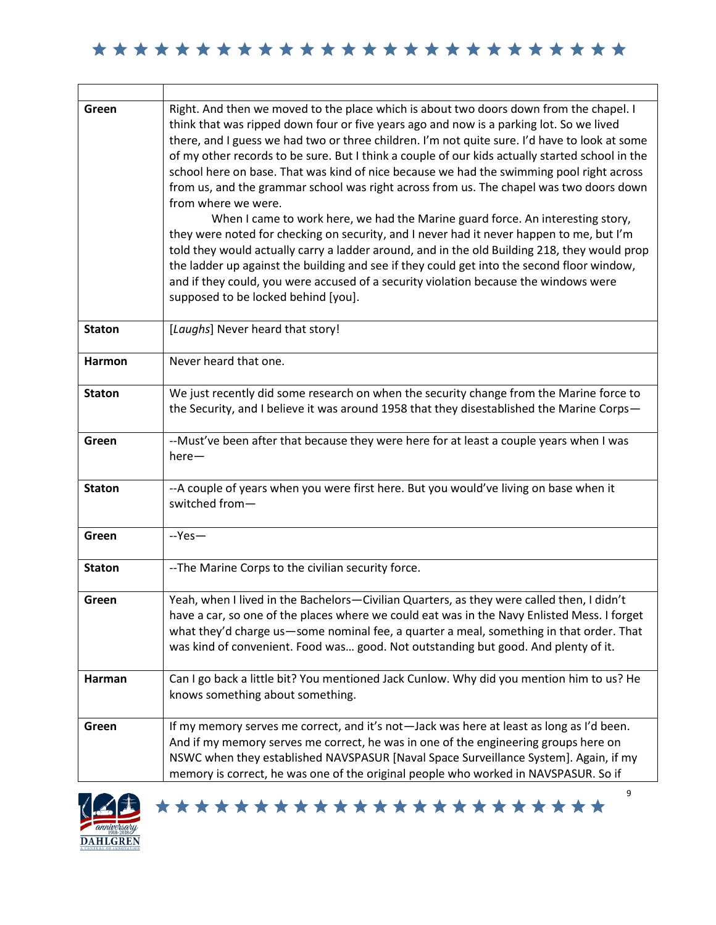┑

| Green         | Right. And then we moved to the place which is about two doors down from the chapel. I<br>think that was ripped down four or five years ago and now is a parking lot. So we lived<br>there, and I guess we had two or three children. I'm not quite sure. I'd have to look at some<br>of my other records to be sure. But I think a couple of our kids actually started school in the<br>school here on base. That was kind of nice because we had the swimming pool right across<br>from us, and the grammar school was right across from us. The chapel was two doors down<br>from where we were.<br>When I came to work here, we had the Marine guard force. An interesting story,<br>they were noted for checking on security, and I never had it never happen to me, but I'm<br>told they would actually carry a ladder around, and in the old Building 218, they would prop<br>the ladder up against the building and see if they could get into the second floor window,<br>and if they could, you were accused of a security violation because the windows were<br>supposed to be locked behind [you]. |
|---------------|----------------------------------------------------------------------------------------------------------------------------------------------------------------------------------------------------------------------------------------------------------------------------------------------------------------------------------------------------------------------------------------------------------------------------------------------------------------------------------------------------------------------------------------------------------------------------------------------------------------------------------------------------------------------------------------------------------------------------------------------------------------------------------------------------------------------------------------------------------------------------------------------------------------------------------------------------------------------------------------------------------------------------------------------------------------------------------------------------------------|
| <b>Staton</b> | [Laughs] Never heard that story!                                                                                                                                                                                                                                                                                                                                                                                                                                                                                                                                                                                                                                                                                                                                                                                                                                                                                                                                                                                                                                                                               |
| <b>Harmon</b> | Never heard that one.                                                                                                                                                                                                                                                                                                                                                                                                                                                                                                                                                                                                                                                                                                                                                                                                                                                                                                                                                                                                                                                                                          |
| <b>Staton</b> | We just recently did some research on when the security change from the Marine force to<br>the Security, and I believe it was around 1958 that they disestablished the Marine Corps-                                                                                                                                                                                                                                                                                                                                                                                                                                                                                                                                                                                                                                                                                                                                                                                                                                                                                                                           |
| Green         | --Must've been after that because they were here for at least a couple years when I was<br>$here-$                                                                                                                                                                                                                                                                                                                                                                                                                                                                                                                                                                                                                                                                                                                                                                                                                                                                                                                                                                                                             |
| <b>Staton</b> | --A couple of years when you were first here. But you would've living on base when it<br>switched from-                                                                                                                                                                                                                                                                                                                                                                                                                                                                                                                                                                                                                                                                                                                                                                                                                                                                                                                                                                                                        |
| Green         | --Yes-                                                                                                                                                                                                                                                                                                                                                                                                                                                                                                                                                                                                                                                                                                                                                                                                                                                                                                                                                                                                                                                                                                         |
| <b>Staton</b> | --The Marine Corps to the civilian security force.                                                                                                                                                                                                                                                                                                                                                                                                                                                                                                                                                                                                                                                                                                                                                                                                                                                                                                                                                                                                                                                             |
| Green         | Yeah, when I lived in the Bachelors-Civilian Quarters, as they were called then, I didn't<br>have a car, so one of the places where we could eat was in the Navy Enlisted Mess. I forget<br>what they'd charge us-some nominal fee, a quarter a meal, something in that order. That<br>was kind of convenient. Food was good. Not outstanding but good. And plenty of it.                                                                                                                                                                                                                                                                                                                                                                                                                                                                                                                                                                                                                                                                                                                                      |
| Harman        | Can I go back a little bit? You mentioned Jack Cunlow. Why did you mention him to us? He<br>knows something about something.                                                                                                                                                                                                                                                                                                                                                                                                                                                                                                                                                                                                                                                                                                                                                                                                                                                                                                                                                                                   |
| Green         | If my memory serves me correct, and it's not-Jack was here at least as long as I'd been.<br>And if my memory serves me correct, he was in one of the engineering groups here on<br>NSWC when they established NAVSPASUR [Naval Space Surveillance System]. Again, if my<br>memory is correct, he was one of the original people who worked in NAVSPASUR. So if                                                                                                                                                                                                                                                                                                                                                                                                                                                                                                                                                                                                                                                                                                                                                 |



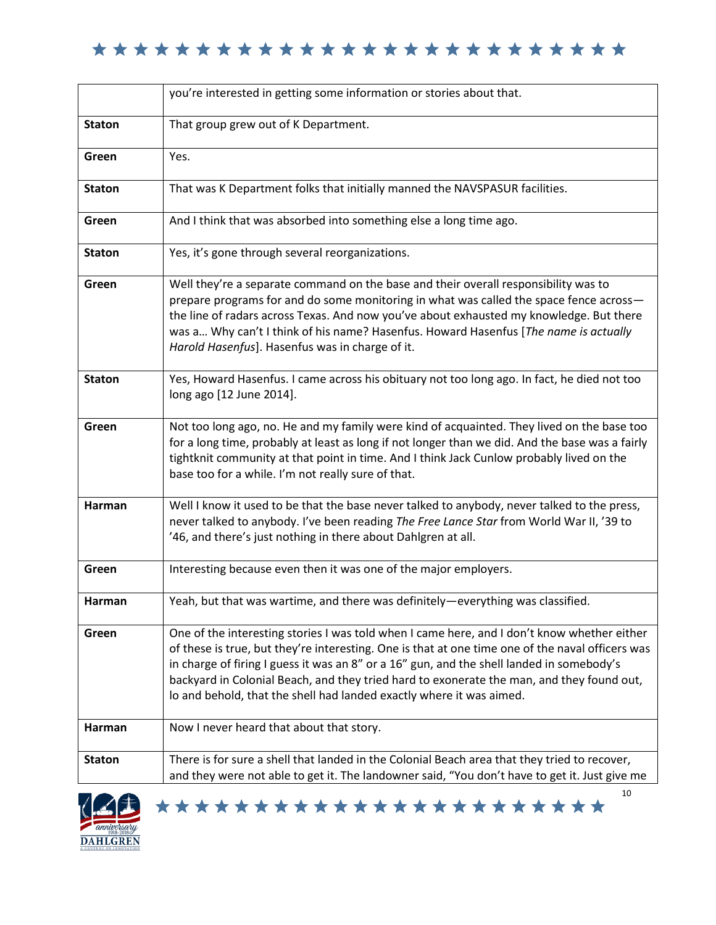|               | you're interested in getting some information or stories about that.                                                                                                                                                                                                                                                                                                                                                                                              |
|---------------|-------------------------------------------------------------------------------------------------------------------------------------------------------------------------------------------------------------------------------------------------------------------------------------------------------------------------------------------------------------------------------------------------------------------------------------------------------------------|
| <b>Staton</b> | That group grew out of K Department.                                                                                                                                                                                                                                                                                                                                                                                                                              |
| Green         | Yes.                                                                                                                                                                                                                                                                                                                                                                                                                                                              |
| <b>Staton</b> | That was K Department folks that initially manned the NAVSPASUR facilities.                                                                                                                                                                                                                                                                                                                                                                                       |
| Green         | And I think that was absorbed into something else a long time ago.                                                                                                                                                                                                                                                                                                                                                                                                |
| <b>Staton</b> | Yes, it's gone through several reorganizations.                                                                                                                                                                                                                                                                                                                                                                                                                   |
| Green         | Well they're a separate command on the base and their overall responsibility was to<br>prepare programs for and do some monitoring in what was called the space fence across-<br>the line of radars across Texas. And now you've about exhausted my knowledge. But there<br>was a Why can't I think of his name? Hasenfus. Howard Hasenfus [The name is actually<br>Harold Hasenfus]. Hasenfus was in charge of it.                                               |
| <b>Staton</b> | Yes, Howard Hasenfus. I came across his obituary not too long ago. In fact, he died not too<br>long ago [12 June 2014].                                                                                                                                                                                                                                                                                                                                           |
| Green         | Not too long ago, no. He and my family were kind of acquainted. They lived on the base too<br>for a long time, probably at least as long if not longer than we did. And the base was a fairly<br>tightknit community at that point in time. And I think Jack Cunlow probably lived on the<br>base too for a while. I'm not really sure of that.                                                                                                                   |
| Harman        | Well I know it used to be that the base never talked to anybody, never talked to the press,<br>never talked to anybody. I've been reading The Free Lance Star from World War II, '39 to<br>'46, and there's just nothing in there about Dahlgren at all.                                                                                                                                                                                                          |
| Green         | Interesting because even then it was one of the major employers.                                                                                                                                                                                                                                                                                                                                                                                                  |
| Harman        | Yeah, but that was wartime, and there was definitely-everything was classified.                                                                                                                                                                                                                                                                                                                                                                                   |
| Green         | One of the interesting stories I was told when I came here, and I don't know whether either<br>of these is true, but they're interesting. One is that at one time one of the naval officers was<br>in charge of firing I guess it was an 8" or a 16" gun, and the shell landed in somebody's<br>backyard in Colonial Beach, and they tried hard to exonerate the man, and they found out,<br>lo and behold, that the shell had landed exactly where it was aimed. |
| Harman        | Now I never heard that about that story.                                                                                                                                                                                                                                                                                                                                                                                                                          |
| <b>Staton</b> | There is for sure a shell that landed in the Colonial Beach area that they tried to recover,<br>and they were not able to get it. The landowner said, "You don't have to get it. Just give me                                                                                                                                                                                                                                                                     |
| $\sqrt{2}$    | 10<br>***********************                                                                                                                                                                                                                                                                                                                                                                                                                                     |

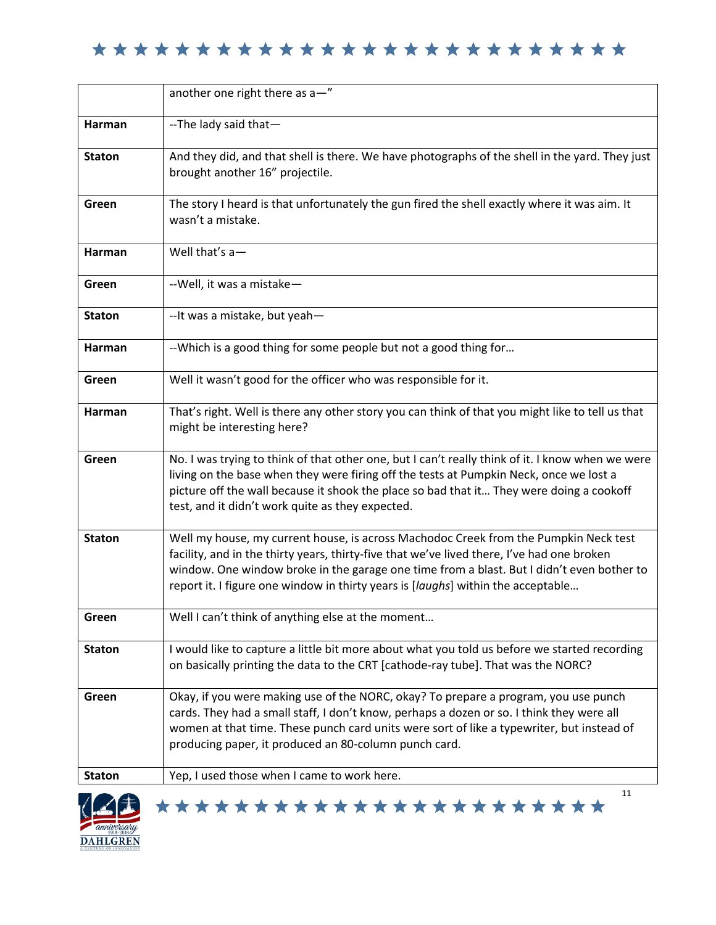|               | another one right there as a-"                                                                                                                                                                                                                                                                                                                                      |
|---------------|---------------------------------------------------------------------------------------------------------------------------------------------------------------------------------------------------------------------------------------------------------------------------------------------------------------------------------------------------------------------|
| Harman        | --The lady said that-                                                                                                                                                                                                                                                                                                                                               |
| <b>Staton</b> | And they did, and that shell is there. We have photographs of the shell in the yard. They just<br>brought another 16" projectile.                                                                                                                                                                                                                                   |
| Green         | The story I heard is that unfortunately the gun fired the shell exactly where it was aim. It<br>wasn't a mistake.                                                                                                                                                                                                                                                   |
| Harman        | Well that's $a-$                                                                                                                                                                                                                                                                                                                                                    |
| Green         | --Well, it was a mistake-                                                                                                                                                                                                                                                                                                                                           |
| <b>Staton</b> | --It was a mistake, but yeah-                                                                                                                                                                                                                                                                                                                                       |
| Harman        | --Which is a good thing for some people but not a good thing for                                                                                                                                                                                                                                                                                                    |
| Green         | Well it wasn't good for the officer who was responsible for it.                                                                                                                                                                                                                                                                                                     |
| Harman        | That's right. Well is there any other story you can think of that you might like to tell us that<br>might be interesting here?                                                                                                                                                                                                                                      |
| Green         | No. I was trying to think of that other one, but I can't really think of it. I know when we were<br>living on the base when they were firing off the tests at Pumpkin Neck, once we lost a<br>picture off the wall because it shook the place so bad that it They were doing a cookoff<br>test, and it didn't work quite as they expected.                          |
| <b>Staton</b> | Well my house, my current house, is across Machodoc Creek from the Pumpkin Neck test<br>facility, and in the thirty years, thirty-five that we've lived there, I've had one broken<br>window. One window broke in the garage one time from a blast. But I didn't even bother to<br>report it. I figure one window in thirty years is [laughs] within the acceptable |
| Green         | Well I can't think of anything else at the moment                                                                                                                                                                                                                                                                                                                   |
| <b>Staton</b> | I would like to capture a little bit more about what you told us before we started recording<br>on basically printing the data to the CRT [cathode-ray tube]. That was the NORC?                                                                                                                                                                                    |
| Green         | Okay, if you were making use of the NORC, okay? To prepare a program, you use punch<br>cards. They had a small staff, I don't know, perhaps a dozen or so. I think they were all<br>women at that time. These punch card units were sort of like a typewriter, but instead of<br>producing paper, it produced an 80-column punch card.                              |
| <b>Staton</b> | Yep, I used those when I came to work here.                                                                                                                                                                                                                                                                                                                         |
|               | 11<br>***********************                                                                                                                                                                                                                                                                                                                                       |

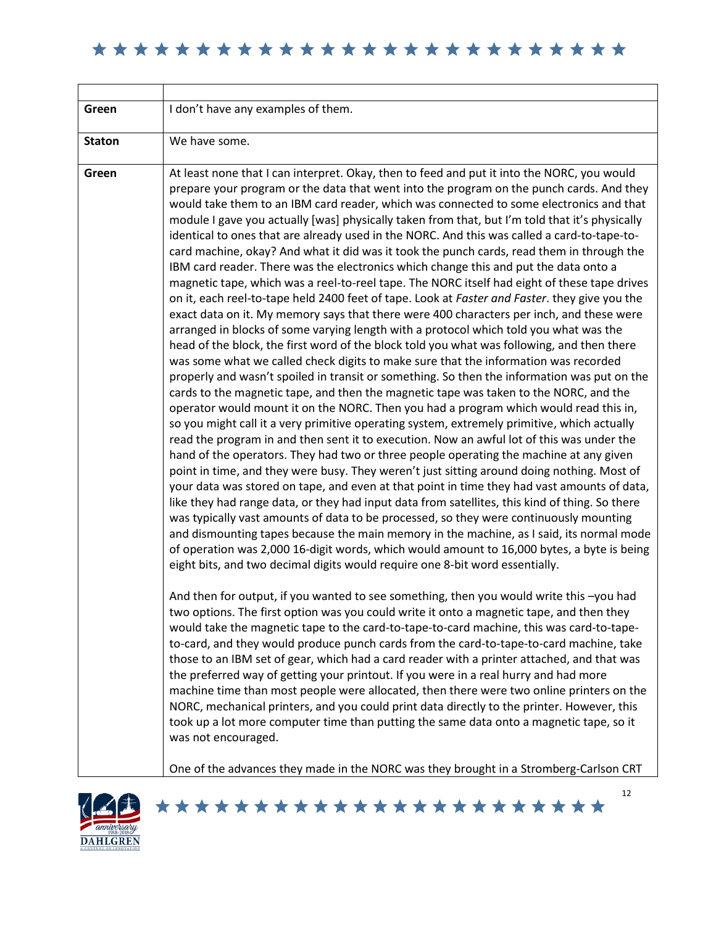| Green         | I don't have any examples of them.                                                                                                                                                                                                                                                                                                                                                                                                                                                                                                                                                                                                                                                                                                                                                                                                                                                                                                                                                                                                                                                                                                                                                                                                                                                                                                                                                                                                                                                                                                                                                                                                                                                                                                                                                                                                                                                                                                                                                                                                                                                                                                                                                                                                                                                                                                                                                                                                                                                                                                                                                                                                                                                                                                                                                                                                                                                                                                                                                                                                                                                                                                                                                                                                                                                                                                                                                                                                                                    |
|---------------|-----------------------------------------------------------------------------------------------------------------------------------------------------------------------------------------------------------------------------------------------------------------------------------------------------------------------------------------------------------------------------------------------------------------------------------------------------------------------------------------------------------------------------------------------------------------------------------------------------------------------------------------------------------------------------------------------------------------------------------------------------------------------------------------------------------------------------------------------------------------------------------------------------------------------------------------------------------------------------------------------------------------------------------------------------------------------------------------------------------------------------------------------------------------------------------------------------------------------------------------------------------------------------------------------------------------------------------------------------------------------------------------------------------------------------------------------------------------------------------------------------------------------------------------------------------------------------------------------------------------------------------------------------------------------------------------------------------------------------------------------------------------------------------------------------------------------------------------------------------------------------------------------------------------------------------------------------------------------------------------------------------------------------------------------------------------------------------------------------------------------------------------------------------------------------------------------------------------------------------------------------------------------------------------------------------------------------------------------------------------------------------------------------------------------------------------------------------------------------------------------------------------------------------------------------------------------------------------------------------------------------------------------------------------------------------------------------------------------------------------------------------------------------------------------------------------------------------------------------------------------------------------------------------------------------------------------------------------------------------------------------------------------------------------------------------------------------------------------------------------------------------------------------------------------------------------------------------------------------------------------------------------------------------------------------------------------------------------------------------------------------------------------------------------------------------------------------------------------|
| <b>Staton</b> | We have some.                                                                                                                                                                                                                                                                                                                                                                                                                                                                                                                                                                                                                                                                                                                                                                                                                                                                                                                                                                                                                                                                                                                                                                                                                                                                                                                                                                                                                                                                                                                                                                                                                                                                                                                                                                                                                                                                                                                                                                                                                                                                                                                                                                                                                                                                                                                                                                                                                                                                                                                                                                                                                                                                                                                                                                                                                                                                                                                                                                                                                                                                                                                                                                                                                                                                                                                                                                                                                                                         |
| Green         | At least none that I can interpret. Okay, then to feed and put it into the NORC, you would<br>prepare your program or the data that went into the program on the punch cards. And they<br>would take them to an IBM card reader, which was connected to some electronics and that<br>module I gave you actually [was] physically taken from that, but I'm told that it's physically<br>identical to ones that are already used in the NORC. And this was called a card-to-tape-to-<br>card machine, okay? And what it did was it took the punch cards, read them in through the<br>IBM card reader. There was the electronics which change this and put the data onto a<br>magnetic tape, which was a reel-to-reel tape. The NORC itself had eight of these tape drives<br>on it, each reel-to-tape held 2400 feet of tape. Look at Faster and Faster. they give you the<br>exact data on it. My memory says that there were 400 characters per inch, and these were<br>arranged in blocks of some varying length with a protocol which told you what was the<br>head of the block, the first word of the block told you what was following, and then there<br>was some what we called check digits to make sure that the information was recorded<br>properly and wasn't spoiled in transit or something. So then the information was put on the<br>cards to the magnetic tape, and then the magnetic tape was taken to the NORC, and the<br>operator would mount it on the NORC. Then you had a program which would read this in,<br>so you might call it a very primitive operating system, extremely primitive, which actually<br>read the program in and then sent it to execution. Now an awful lot of this was under the<br>hand of the operators. They had two or three people operating the machine at any given<br>point in time, and they were busy. They weren't just sitting around doing nothing. Most of<br>your data was stored on tape, and even at that point in time they had vast amounts of data,<br>like they had range data, or they had input data from satellites, this kind of thing. So there<br>was typically vast amounts of data to be processed, so they were continuously mounting<br>and dismounting tapes because the main memory in the machine, as I said, its normal mode<br>of operation was 2,000 16-digit words, which would amount to 16,000 bytes, a byte is being<br>eight bits, and two decimal digits would require one 8-bit word essentially.<br>And then for output, if you wanted to see something, then you would write this -you had<br>two options. The first option was you could write it onto a magnetic tape, and then they<br>would take the magnetic tape to the card-to-tape-to-card machine, this was card-to-tape-<br>to-card, and they would produce punch cards from the card-to-tape-to-card machine, take<br>those to an IBM set of gear, which had a card reader with a printer attached, and that was<br>the preferred way of getting your printout. If you were in a real hurry and had more<br>machine time than most people were allocated, then there were two online printers on the<br>NORC, mechanical printers, and you could print data directly to the printer. However, this<br>took up a lot more computer time than putting the same data onto a magnetic tape, so it<br>was not encouraged.<br>One of the advances they made in the NORC was they brought in a Stromberg-Carlson CRT |

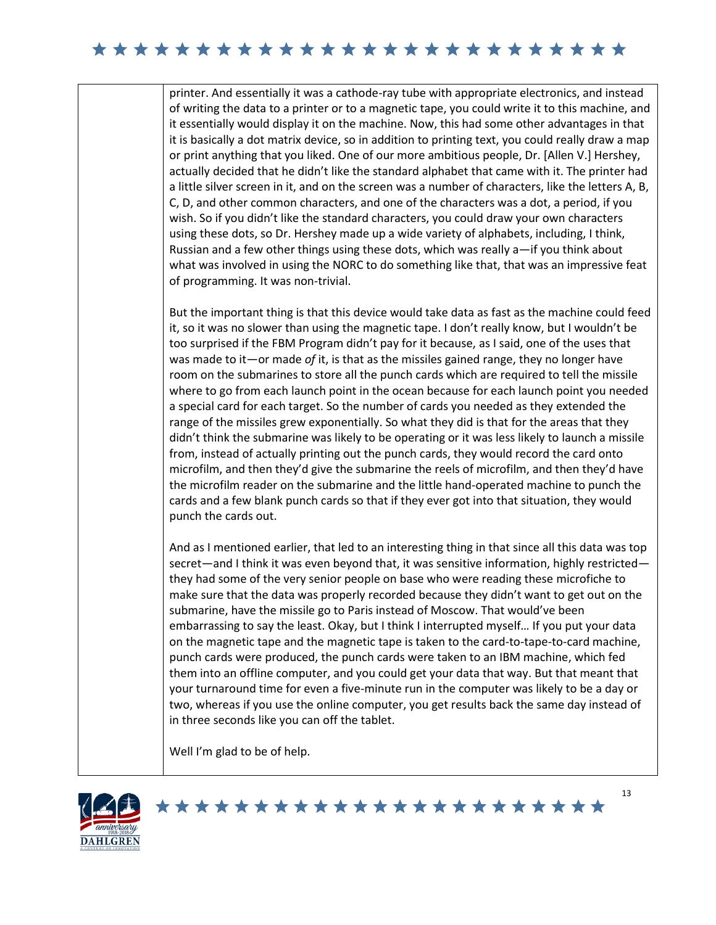printer. And essentially it was a cathode-ray tube with appropriate electronics, and instead of writing the data to a printer or to a magnetic tape, you could write it to this machine, and it essentially would display it on the machine. Now, this had some other advantages in that it is basically a dot matrix device, so in addition to printing text, you could really draw a map or print anything that you liked. One of our more ambitious people, Dr. [Allen V.] Hershey, actually decided that he didn't like the standard alphabet that came with it. The printer had a little silver screen in it, and on the screen was a number of characters, like the letters A, B, C, D, and other common characters, and one of the characters was a dot, a period, if you wish. So if you didn't like the standard characters, you could draw your own characters using these dots, so Dr. Hershey made up a wide variety of alphabets, including, I think, Russian and a few other things using these dots, which was really a—if you think about what was involved in using the NORC to do something like that, that was an impressive feat of programming. It was non-trivial.

But the important thing is that this device would take data as fast as the machine could feed it, so it was no slower than using the magnetic tape. I don't really know, but I wouldn't be too surprised if the FBM Program didn't pay for it because, as I said, one of the uses that was made to it—or made *of* it, is that as the missiles gained range, they no longer have room on the submarines to store all the punch cards which are required to tell the missile where to go from each launch point in the ocean because for each launch point you needed a special card for each target. So the number of cards you needed as they extended the range of the missiles grew exponentially. So what they did is that for the areas that they didn't think the submarine was likely to be operating or it was less likely to launch a missile from, instead of actually printing out the punch cards, they would record the card onto microfilm, and then they'd give the submarine the reels of microfilm, and then they'd have the microfilm reader on the submarine and the little hand-operated machine to punch the cards and a few blank punch cards so that if they ever got into that situation, they would punch the cards out.

And as I mentioned earlier, that led to an interesting thing in that since all this data was top secret—and I think it was even beyond that, it was sensitive information, highly restricted they had some of the very senior people on base who were reading these microfiche to make sure that the data was properly recorded because they didn't want to get out on the submarine, have the missile go to Paris instead of Moscow. That would've been embarrassing to say the least. Okay, but I think I interrupted myself… If you put your data on the magnetic tape and the magnetic tape is taken to the card-to-tape-to-card machine, punch cards were produced, the punch cards were taken to an IBM machine, which fed them into an offline computer, and you could get your data that way. But that meant that your turnaround time for even a five-minute run in the computer was likely to be a day or two, whereas if you use the online computer, you get results back the same day instead of in three seconds like you can off the tablet.

Well I'm glad to be of help.